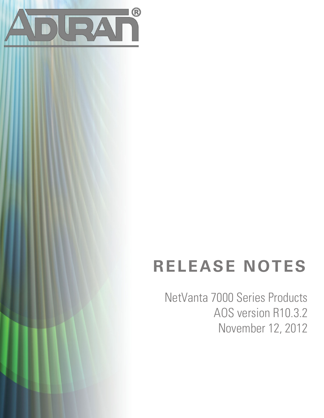

# **RELEASE NOTES**

NetVanta 7000 Series Products AOS version R10.3.2 November 12, 2012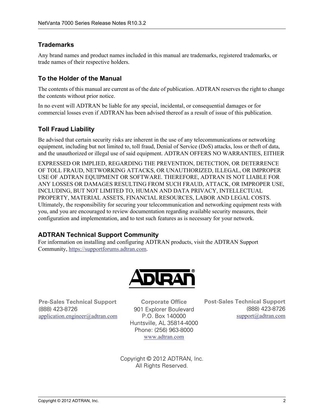## **Trademarks**

Any brand names and product names included in this manual are trademarks, registered trademarks, or trade names of their respective holders.

## **To the Holder of the Manual**

The contents of this manual are current as of the date of publication. ADTRAN reserves the right to change the contents without prior notice.

In no event will ADTRAN be liable for any special, incidental, or consequential damages or for commercial losses even if ADTRAN has been advised thereof as a result of issue of this publication.

### **Toll Fraud Liability**

Be advised that certain security risks are inherent in the use of any telecommunications or networking equipment, including but not limited to, toll fraud, Denial of Service (DoS) attacks, loss or theft of data, and the unauthorized or illegal use of said equipment. ADTRAN OFFERS NO WARRANTIES, EITHER

EXPRESSED OR IMPLIED, REGARDING THE PREVENTION, DETECTION, OR DETERRENCE OF TOLL FRAUD, NETWORKING ATTACKS, OR UNAUTHORIZED, ILLEGAL, OR IMPROPER USE OF ADTRAN EQUIPMENT OR SOFTWARE. THEREFORE, ADTRAN IS NOT LIABLE FOR ANY LOSSES OR DAMAGES RESULTING FROM SUCH FRAUD, ATTACK, OR IMPROPER USE, INCLUDING, BUT NOT LIMITED TO, HUMAN AND DATA PRIVACY, INTELLECTUAL PROPERTY, MATERIAL ASSETS, FINANCIAL RESOURCES, LABOR AND LEGAL COSTS. Ultimately, the responsibility for securing your telecommunication and networking equipment rests with you, and you are encouraged to review documentation regarding available security measures, their configuration and implementation, and to test such features as is necessary for your network.

### **ADTRAN Technical Support Community**

For information on installing and configuring ADTRAN products, visit the ADTRAN Support Community, https://supportforums.adtran.com.



**Pre-Sales Technical Support** (888) 423-8726 application.engineer@adtran.com

**Corporate Office** 901 Explorer Boulevard P.O. Box 140000 Huntsville, AL 35814-4000 Phone: (256) 963-8000 www.adtran.com

**Post-Sales Technical Support** (888) 423-8726 support@adtran.com

Copyright © 2012 ADTRAN, Inc. All Rights Reserved.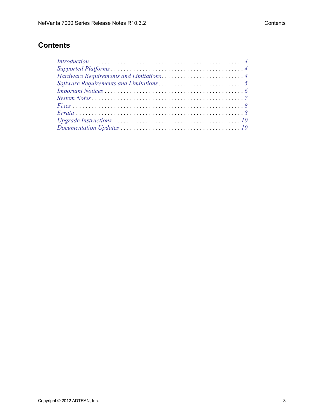# **Contents**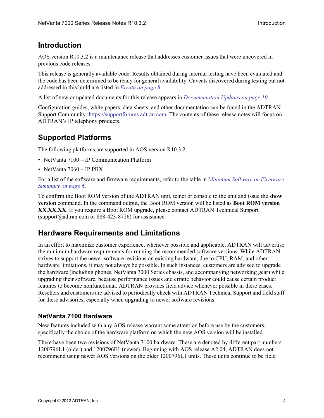## <span id="page-3-1"></span>**Introduction**

AOS version R10.3.2 is a maintenance release that addresses customer issues that were uncovered in previous code releases.

This release is generally available code. Results obtained during internal testing have been evaluated and the code has been determined to be ready for general availability. Caveats discovered during testing but not addressed in this build are listed in *[Errata on page 8](#page-7-1)*.

A list of new or updated documents for this release appears in *[Documentation Updates on page 10](#page-9-0)*.

Configuration guides, white papers, data sheets, and other documentation can be found in the ADTRAN Support Community, https://supportforums.adtran.com. The contents of these release notes will focus on ADTRAN's IP telephony products.

# <span id="page-3-0"></span>**Supported Platforms**

The following platforms are supported in AOS version R10.3.2.

- NetVanta 7100 IP Communication Platform
- NetVanta 7060 IP PBX

For a list of the software and firmware requirements, refer to the table in *[Minimum Software or Firmware](#page-5-1)  [Summary on page 6](#page-5-1)*.

To confirm the Boot ROM version of the ADTRAN unit, telnet or console to the unit and issue the **show version** command. In the command output, the Boot ROM version will be listed as **Boot ROM version XX.XX.XX**. If you require a Boot ROM upgrade, please contact ADTRAN Technical Support (support $@$ adtran.com or 888-423-8726) for assistance.

## <span id="page-3-2"></span>**Hardware Requirements and Limitations**

In an effort to maximize customer experience, whenever possible and applicable, ADTRAN will advertise the minimum hardware requirements for running the recommended software versions. While ADTRAN strives to support the newer software revisions on existing hardware, due to CPU, RAM, and other hardware limitations, it may not always be possible. In such instances, customers are advised to upgrade the hardware (including phones, NetVanta 7000 Series chassis, and accompanying networking gear) while upgrading their software, because performance issues and erratic behavior could cause certain product features to become nonfunctional. ADTRAN provides field advice whenever possible in these cases. Resellers and customers are advised to periodically check with ADTRAN Technical Support and field staff for these advisories, especially when upgrading to newer software revisions.

#### **NetVanta 7100 Hardware**

New features included with any AOS release warrant some attention before use by the customers, specifically the choice of the hardware platform on which the new AOS version will be installed.

There have been two revisions of NetVanta 7100 hardware. These are denoted by different part numbers: 1200796L1 (older) and 1200796E1 (newer). Beginning with AOS release A2.04, ADTRAN does not recommend using newer AOS versions on the older 1200796L1 units. These units continue to be field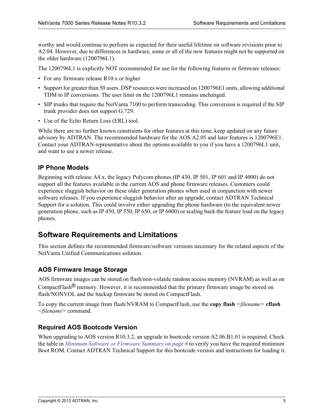worthy and would continue to perform as expected for their useful lifetime on software revisions prior to A2.04. However, due to differences in hardware, some or all of the new features might not be supported on the older hardware (1200796L1).

The 1200796L1 is explicitly NOT recommended for use for the following features or firmware releases:

- For any firmware release R10.x or higher
- Support for greater than 50 users. DSP resources were increased on 1200796E1 units, allowing additional TDM to IP conversions. The user limit on the 1200796L1 remains unchanged.
- SIP trunks that require the NetVanta 7100 to perform transcoding. This conversion is required if the SIP trunk provider does not support G.729.
- Use of the Echo Return Loss (ERL) tool.

While there are no further known constraints for other features at this time, keep updated on any future advisory by ADTRAN. The recommended hardware for the AOS A2.05 and later features is 1200796E1. Contact your ADTRAN representative about the options available to you if you have a 1200796L1 unit, and want to use a newer release.

#### **IP Phone Models**

Beginning with release A4.x, the legacy Polycom phones (IP 430, IP 501, IP 601 and IP 4000) do not support all the features available in the current AOS and phone firmware releases. Customers could experience sluggish behavior on these older generation phones when used in conjunction with newer software releases. If you experience sluggish behavior after an upgrade, contact ADTRAN Technical Support for a solution. This could involve either upgrading the phone hardware (to the equivalent newer generation phone, such as IP 450, IP 550, IP 650, or IP 6000) or scaling back the feature load on the legacy phones.

## <span id="page-4-0"></span>**Software Requirements and Limitations**

This section defines the recommended firmware/software versions necessary for the related aspects of the NetVanta Unified Communications solution.

### **AOS Firmware Image Storage**

AOS firmware images can be stored on flash/non-volatile random access memory (NVRAM) as well as on CompactFlash<sup>®</sup> memory. However, it is recommended that the primary firmware image be stored on flash/NONVOL and the backup firmware be stored on CompactFlash.

To copy the current image from flash/NVRAM to CompactFlash, use the **copy flash** *<filename>* **cflash** *<filename>* command.

#### **Required AOS Bootcode Version**

When upgrading to AOS version R10.3.2, an upgrade to bootcode version A2.06.B1.01 is required. Check the table in *[Minimum Software or Firmware Summary on page 6](#page-5-1)* to verify you have the required minimum Boot ROM. Contact ADTRAN Technical Support for this bootcode version and instructions for loading it.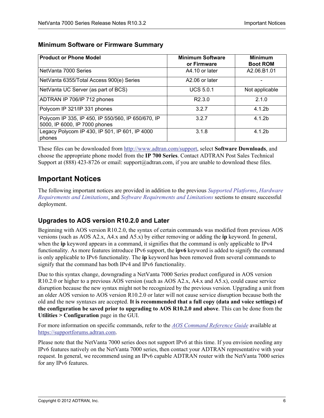| <b>Product or Phone Model</b>                                                       | <b>Minimum Software</b><br>or Firmware | <b>Minimum</b><br><b>Boot ROM</b> |
|-------------------------------------------------------------------------------------|----------------------------------------|-----------------------------------|
| NetVanta 7000 Series                                                                | A4.10 or later                         | A2.06.B1.01                       |
| NetVanta 6355/Total Access 900(e) Series                                            | A2.06 or later                         |                                   |
| NetVanta UC Server (as part of BCS)                                                 | <b>UCS 5.0.1</b>                       | Not applicable                    |
| ADTRAN IP 706/IP 712 phones                                                         | R <sub>2.3.0</sub>                     | 2.1.0                             |
| Polycom IP 321/IP 331 phones                                                        | 3.2.7                                  | 4.1.2 <sub>b</sub>                |
| Polycom IP 335, IP 450, IP 550/560, IP 650/670, IP<br>5000, IP 6000, IP 7000 phones | 3.2.7                                  | 4.1.2b                            |
| Legacy Polycom IP 430, IP 501, IP 601, IP 4000<br>phones                            | 3.1.8                                  | 4.1.2h                            |

#### <span id="page-5-1"></span>**Minimum Software or Firmware Summary**

These files can be downloaded from [http://www.adtran.com/support,](http://www.adtran.com/support) select **Software Downloads**, and choose the appropriate phone model from the **IP 700 Series**. Contact ADTRAN Post Sales Technical Support at (888) 423-8726 or email: support@adtran.com, if you are unable to download these files.

## <span id="page-5-0"></span>**Important Notices**

The following important notices are provided in addition to the previous *[Supported Platforms](#page-3-0)*, *[Hardware](#page-3-2)  [Requirements and Limitations](#page-3-2)*, and *[Software Requirements and Limitations](#page-4-0)* sections to ensure successful deployment.

### **Upgrades to AOS version R10.2.0 and Later**

Beginning with AOS version R10.2.0, the syntax of certain commands was modified from previous AOS versions (such as AOS A2.x, A4.x and A5.x) by either removing or adding the **ip** keyword. In general, when the **ip** keyword appears in a command, it signifies that the command is only applicable to IPv4 functionality. As more features introduce IPv6 support, the **ipv6** keyword is added to signify the command is only applicable to IPv6 functionality. The **ip** keyword has been removed from several commands to signify that the command has both IPv4 and IPv6 functionality.

Due to this syntax change, downgrading a NetVanta 7000 Series product configured in AOS version R10.2.0 or higher to a previous AOS version (such as AOS A2.x, A4.x and A5.x), could cause service disruption because the new syntax might not be recognized by the previous version. Upgrading a unit from an older AOS version to AOS version R10.2.0 or later will not cause service disruption because both the old and the new syntaxes are accepted. **It is recommended that a full copy (data and voice settings) of the configuration be saved prior to upgrading to AOS R10.2.0 and above**. This can be done from the **Utilities > Configuration** page in the GUI.

For more information on specific commands, refer to the *AOS Command Reference Guide* available at https://supportforums.adtran.com.

Please note that the NetVanta 7000 series does not support IPv6 at this time. If you envision needing any IPv6 features natively on the NetVanta 7000 series, then contact your ADTRAN representative with your request. In general, we recommend using an IPv6 capable ADTRAN router with the NetVanta 7000 series for any IPv6 features.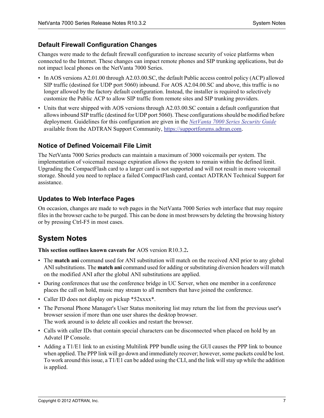#### **Default Firewall Configuration Changes**

Changes were made to the default firewall configuration to increase security of voice platforms when connected to the Internet. These changes can impact remote phones and SIP trunking applications, but do not impact local phones on the NetVanta 7000 Series.

- In AOS versions A2.01.00 through A2.03.00.SC, the default Public access control policy (ACP) allowed SIP traffic (destined for UDP port 5060) inbound. For AOS A2.04.00.SC and above, this traffic is no longer allowed by the factory default configuration. Instead, the installer is required to selectively customize the Public ACP to allow SIP traffic from remote sites and SIP trunking providers.
- Units that were shipped with AOS versions through A2.03.00.SC contain a default configuration that allows inbound SIP traffic (destined for UDP port 5060). These configurations should be modified before deployment. Guidelines for this configuration are given in the *[NetVanta 7000 Series Security Guide](https://supportforums.adtran.com/docs/DOC-2951)* available from the ADTRAN Support Community, https://supportforums.adtran.com.

#### **Notice of Defined Voicemail File Limit**

The NetVanta 7000 Series products can maintain a maximum of 3000 voicemails per system. The implementation of voicemail message expiration allows the system to remain within the defined limit. Upgrading the CompactFlash card to a larger card is not supported and will not result in more voicemail storage. Should you need to replace a failed CompactFlash card, contact ADTRAN Technical Support for assistance.

#### **Updates to Web Interface Pages**

On occasion, changes are made to web pages in the NetVanta 7000 Series web interface that may require files in the browser cache to be purged. This can be done in most browsers by deleting the browsing history or by pressing Ctrl-F5 in most cases.

## <span id="page-6-0"></span>**System Notes**

**This section outlines known caveats for** AOS version R10.3.2**.**

- The **match ani** command used for ANI substitution will match on the received ANI prior to any global ANI substitutions. The **match ani** command used for adding or substituting diversion headers will match on the modified ANI after the global ANI substitutions are applied.
- During conferences that use the conference bridge in UC Server, when one member in a conference places the call on hold, music may stream to all members that have joined the conference.
- Caller ID does not display on pickup \*52xxxx\*.
- The Personal Phone Manager's User Status monitoring list may return the list from the previous user's browser session if more than one user shares the desktop browser. The work around is to delete all cookies and restart the browser.
- Calls with caller IDs that contain special characters can be disconnected when placed on hold by an Advatel IP Console.
- Adding a T1/E1 link to an existing Multilink PPP bundle using the GUI causes the PPP link to bounce when applied. The PPP link will go down and immediately recover; however, some packets could be lost. To work around this issue, a T1/E1 can be added using the CLI, and the link will stay up while the addition is applied.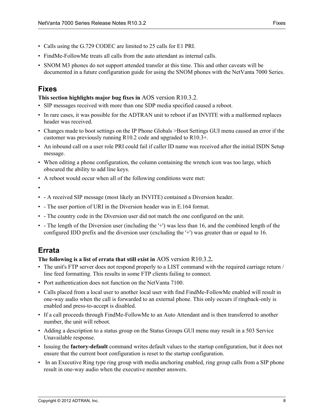- Calls using the G.729 CODEC are limited to 25 calls for E1 PRI.
- FindMe-FollowMe treats all calls from the auto attendant as internal calls.
- SNOM M3 phones do not support attended transfer at this time. This and other caveats will be documented in a future configuration guide for using the SNOM phones with the NetVanta 7000 Series.

## <span id="page-7-0"></span>**Fixes**

#### <span id="page-7-2"></span>**This section highlights major bug fixes in** AOS version R10.3.2.

- SIP messages received with more than one SDP media specified caused a reboot.
- In rare cases, it was possible for the ADTRAN unit to reboot if an INVITE with a malformed replaces header was received.
- Changes made to boot settings on the IP Phone Globals >Boot Settings GUI menu caused an error if the customer was previously running R10.2 code and upgraded to R10.3+.
- An inbound call on a user role PRI could fail if caller ID name was received after the initial ISDN Setup message.
- When editing a phone configuration, the column containing the wrench icon was too large, which obscured the ability to add line keys.
- A reboot would occur when all of the following conditions were met:

•

- - A received SIP message (most likely an INVITE) contained a Diversion header.
- - The user portion of URI in the Diversion header was in E.164 format.
- - The country code in the Diversion user did not match the one configured on the unit.
- - The length of the Diversion user (including the '+') was less than 16, and the combined length of the configured IDD prefix and the diversion user (excluding the '+') was greater than or equal to 16.

## <span id="page-7-1"></span>**Errata**

#### **The following is a list of errata that still exist in** AOS version R10.3.2**.**

- The unit's FTP server does not respond properly to a LIST command with the required carriage return / line feed formatting. This results in some FTP clients failing to connect.
- Port authentication does not function on the NetVanta 7100.
- Calls placed from a local user to another local user with find FindMe-FollowMe enabled will result in one-way audio when the call is forwarded to an external phone. This only occurs if ringback-only is enabled and press-to-accept is disabled.
- If a call proceeds through FindMe-FollowMe to an Auto Attendant and is then transferred to another number, the unit will reboot.
- Adding a description to a status group on the Status Groups GUI menu may result in a 503 Service Unavailable response.
- Issuing the **factory-default** command writes default values to the startup configuration, but it does not ensure that the current boot configuration is reset to the startup configuration.
- In an Executive Ring type ring group with media anchoring enabled, ring group calls from a SIP phone result in one-way audio when the executive member answers.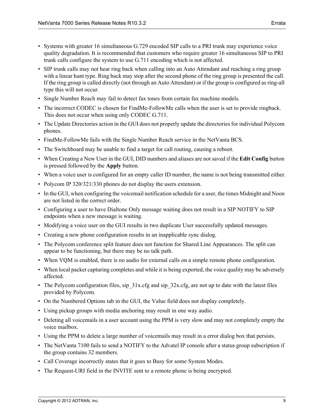- Systems with greater 16 simultaneous G.729 encoded SIP calls to a PRI trunk may experience voice quality degradation. It is recommended that customers who require greater 16 simultaneous SIP to PRI trunk calls configure the system to use G.711 encoding which is not affected.
- SIP trunk calls may not hear ring back when calling into an Auto Attendant and reaching a ring group with a linear hunt type. Ring back may stop after the second phone of the ring group is presented the call. If the ring group is called directly (not through an Auto Attendant) or if the group is configured as ring-all type this will not occur.
- Single Number Reach may fail to detect fax tones from certain fax machine models.
- The incorrect CODEC is chosen for FindMe-FollowMe calls when the user is set to provide ringback. This does not occur when using only CODEC G.711.
- The Update Directories action in the GUI does not properly update the directories for individual Polycom phones.
- FindMe-FollowMe fails with the Single Number Reach service in the NetVanta BCS.
- The Switchboard may be unable to find a target for call routing, causing a reboot.
- When Creating a New User in the GUI, DID numbers and aliases are not saved if the **Edit Config** button is pressed followed by the **Apply** button.
- When a voice user is configured for an empty caller ID number, the name is not being transmitted either.
- Polycom IP 320/321/330 phones do not display the users extension.
- In the GUI, when configuring the voicemail notification schedule for a user, the times Midnight and Noon are not listed in the correct order.
- Configuring a user to have Dialtone Only message waiting does not result in a SIP NOTIFY to SIP endpoints when a new message is waiting.
- Modifying a voice user on the GUI results in two duplicate User successfully updated messages.
- Creating a new phone configuration results in an inapplicable sync dialog.
- The Polycom conference split feature does not function for Shared Line Appearances. The split can appear to be functioning, but there may be no talk path.
- When VQM is enabled, there is no audio for external calls on a simple remote phone configuration.
- When local packet capturing completes and while it is being exported, the voice quality may be adversely affected.
- The Polycom configuration files, sip  $31x.cfg$  and sip  $32x.cfg$ , are not up to date with the latest files provided by Polycom.
- On the Numbered Options tab in the GUI, the Value field does not display completely.
- Using pickup groups with media anchoring may result in one way audio.
- Deleting all voicemails in a user account using the PPM is very slow and may not completely empty the voice mailbox.
- Using the PPM to delete a large number of voicemails may result in a error dialog box that persists.
- The NetVanta 7100 fails to send a NOTIFY to the Advatel IP console after a status group subscription if the group contains 32 members.
- Call Coverage incorrectly states that it goes to Busy for some System Modes.
- The Request-URI field in the INVITE sent to a remote phone is being encrypted.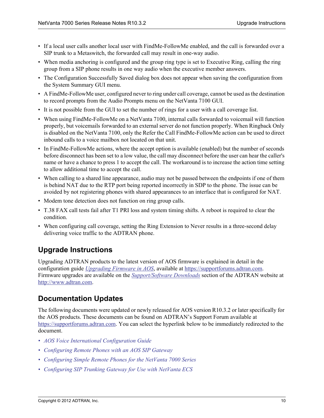- If a local user calls another local user with FindMe-FollowMe enabled, and the call is forwarded over a SIP trunk to a Metaswitch, the forwarded call may result in one-way audio.
- When media anchoring is configured and the group ring type is set to Executive Ring, calling the ring group from a SIP phone results in one way audio when the executive member answers.
- The Configuration Successfully Saved dialog box does not appear when saving the configuration from the System Summary GUI menu.
- A FindMe-FollowMe user, configured never to ring under call coverage, cannot be used as the destination to record prompts from the Audio Prompts menu on the NetVanta 7100 GUI.
- It is not possible from the GUI to set the number of rings for a user with a call coverage list.
- When using FindMe-FollowMe on a NetVanta 7100, internal calls forwarded to voicemail will function properly, but voicemails forwarded to an external server do not function properly. When Ringback Only is disabled on the NetVanta 7100, only the Refer the Call FindMe-FollowMe action can be used to direct inbound calls to a voice mailbox not located on that unit.
- In FindMe-FollowMe actions, where the accept option is available (enabled) but the number of seconds before disconnect has been set to a low value, the call may disconnect before the user can hear the caller's name or have a chance to press 1 to accept the call. The workaround is to increase the action time setting to allow additional time to accept the call.
- When calling to a shared line appearance, audio may not be passed between the endpoints if one of them is behind NAT due to the RTP port being reported incorrectly in SDP to the phone. The issue can be avoided by not registering phones with shared appearances to an interface that is configured for NAT.
- Modem tone detection does not function on ring group calls.
- T.38 FAX call tests fail after T1 PRI loss and system timing shifts. A reboot is required to clear the condition.
- When configuring call coverage, setting the Ring Extension to Never results in a three-second delay delivering voice traffic to the ADTRAN phone.

# <span id="page-9-1"></span>**Upgrade Instructions**

Upgrading ADTRAN products to the latest version of AOS firmware is explained in detail in the configuration guide *[U](https://supportforums.adtran.com/docs/DOC-1672)pgrading Firmware in AOS*, available at https://supportforums.adtran.com[.](http://www.adtran.com/web/page/portal/Adtran/wp_support_softwaredownloads)  [Firmware upgrades are available on the](http://www.adtran.com/web/page/portal/Adtran/wp_support_softwaredownloads) *Support/Software Downloads* [section of the ADTRAN website at](http://www.adtran.com)  [h](http://www.adtran.com)ttp://www.adtran.com.

## <span id="page-9-0"></span>**Documentation Updates**

[The following documents were updated or newly released for AOS version R10.3.2 or later specifically for](https://supportforums.adtran.com)  the AOS products. These documents can be found on ADTRAN's Support Forum available at [h](https://supportforums.adtran.com)ttps://supportforums.adtran.com. You can select the hyperlink below to be immediately redirected to the document.

- *• [AOS Voice International Configuration Guide](https://supportforums.adtran.com/docs/DOC-1824)*
- *• [Configuring Remote Phones with an AOS SIP Gateway](https://supportforums.adtran.com/docs/DOC-5055)*
- *[Configuring Simple Remote Phones for the NetVanta 7000 Series](https://supportforums.adtran.com/docs/DOC-5027)*
- *Configuring SIP Trunking Gateway for Use with NetVanta ECS*